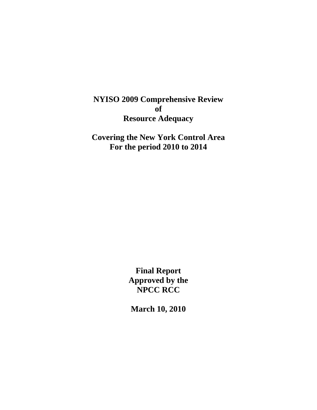# **NYISO 2009 Comprehensive Review of Resource Adequacy**

**Covering the New York Control Area For the period 2010 to 2014** 

> **Final Report Approved by the NPCC RCC**

**March 10, 2010**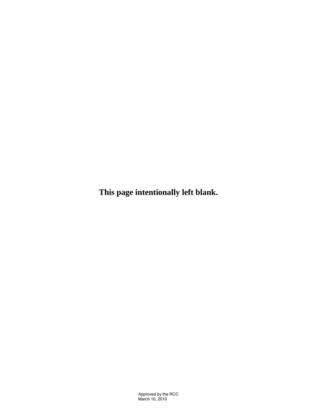**This page intentionally left blank.**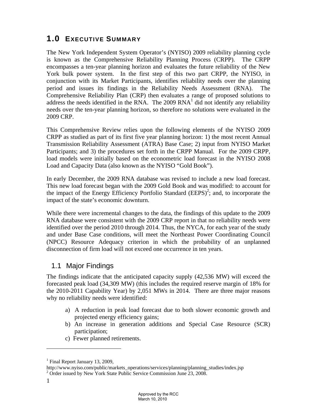# **1.0 EXECUTIVE SUMMARY**

The New York Independent System Operator's (NYISO) 2009 reliability planning cycle is known as the Comprehensive Reliability Planning Process (CRPP). The CRPP encompasses a ten-year planning horizon and evaluates the future reliability of the New York bulk power system. In the first step of this two part CRPP, the NYISO, in conjunction with its Market Participants, identifies reliability needs over the planning period and issues its findings in the Reliability Needs Assessment (RNA). The Comprehensive Reliability Plan (CRP) then evaluates a range of proposed solutions to address the needs identified in the RNA. The 2009  $RNA<sup>1</sup>$  did not identify any reliability needs over the ten-year planning horizon, so therefore no solutions were evaluated in the 2009 CRP.

This Comprehensive Review relies upon the following elements of the NYISO 2009 CRPP as studied as part of its first five year planning horizon: 1) the most recent Annual Transmission Reliability Assessment (ATRA) Base Case; 2) input from NYISO Market Participants; and 3) the procedures set forth in the CRPP Manual. For the 2009 CRPP, load models were initially based on the econometric load forecast in the NYISO 2008 Load and Capacity Data (also known as the NYISO "Gold Book").

In early December, the 2009 RNA database was revised to include a new load forecast. This new load forecast began with the 2009 Gold Book and was modified: to account for the impact of the Energy Efficiency Portfolio Standard  $(EEPS)^2$ ; and, to incorporate the impact of the state's economic downturn.

While there were incremental changes to the data, the findings of this update to the 2009 RNA database were consistent with the 2009 CRP report in that no reliability needs were identified over the period 2010 through 2014. Thus, the NYCA, for each year of the study and under Base Case conditions, will meet the Northeast Power Coordinating Council (NPCC) Resource Adequacy criterion in which the probability of an unplanned disconnection of firm load will not exceed one occurrence in ten years.

### 1.1 Major Findings

The findings indicate that the anticipated capacity supply (42,536 MW) will exceed the forecasted peak load (34,309 MW) (this includes the required reserve margin of 18% for the 2010-2011 Capability Year) by 2,051 MWs in 2014. There are three major reasons why no reliability needs were identified:

- a) A reduction in peak load forecast due to both slower economic growth and projected energy efficiency gains;
- b) An increase in generation additions and Special Case Resource (SCR) participation;
- c) Fewer planned retirements.

 $\overline{a}$ 

<sup>&</sup>lt;sup>1</sup> Final Report January 13, 2009,

http://www.nyiso.com/public/markets\_operations/services/planning/planning\_studies/index.jsp 2 <sup>2</sup> Order issued by New York State Public Service Commission June 23, 2008.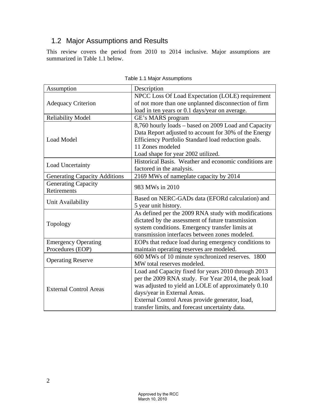# 1.2 Major Assumptions and Results

This review covers the period from 2010 to 2014 inclusive. Major assumptions are summarized in Table 1.1 below.

| Assumption                           | Description                                           |  |
|--------------------------------------|-------------------------------------------------------|--|
|                                      | NPCC Loss Of Load Expectation (LOLE) requirement      |  |
| <b>Adequacy Criterion</b>            | of not more than one unplanned disconnection of firm  |  |
|                                      | load in ten years or 0.1 days/year on average.        |  |
| <b>Reliability Model</b>             | GE's MARS program                                     |  |
|                                      | 8,760 hourly loads - based on 2009 Load and Capacity  |  |
|                                      | Data Report adjusted to account for 30% of the Energy |  |
| <b>Load Model</b>                    | Efficiency Portfolio Standard load reduction goals.   |  |
|                                      | 11 Zones modeled                                      |  |
|                                      | Load shape for year 2002 utilized.                    |  |
|                                      | Historical Basis. Weather and economic conditions are |  |
| Load Uncertainty                     | factored in the analysis.                             |  |
| <b>Generating Capacity Additions</b> | 2169 MWs of nameplate capacity by 2014                |  |
| <b>Generating Capacity</b>           | 983 MWs in 2010                                       |  |
| Retirements                          |                                                       |  |
| Unit Availability                    | Based on NERC-GADs data (EFORd calculation) and       |  |
|                                      | 5 year unit history.                                  |  |
|                                      | As defined per the 2009 RNA study with modifications  |  |
| Topology                             | dictated by the assessment of future transmission     |  |
|                                      | system conditions. Emergency transfer limits at       |  |
|                                      | transmission interfaces between zones modeled.        |  |
| <b>Emergency Operating</b>           | EOPs that reduce load during emergency conditions to  |  |
| Procedures (EOP)                     | maintain operating reserves are modeled.              |  |
| <b>Operating Reserve</b>             | 600 MWs of 10 minute synchronized reserves. 1800      |  |
|                                      | MW total reserves modeled.                            |  |
|                                      | Load and Capacity fixed for years 2010 through 2013   |  |
|                                      | per the 2009 RNA study. For Year 2014, the peak load  |  |
| <b>External Control Areas</b>        | was adjusted to yield an LOLE of approximately 0.10   |  |
|                                      | days/year in External Areas.                          |  |
|                                      | External Control Areas provide generator, load,       |  |
|                                      | transfer limits, and forecast uncertainty data.       |  |

Table 1.1 Major Assumptions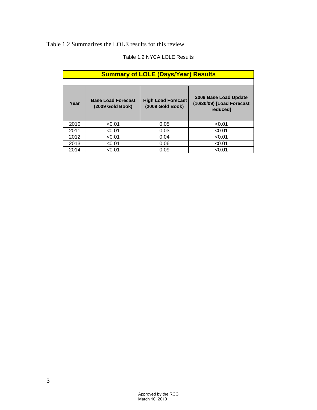Table 1.2 Summarizes the LOLE results for this review.

| <b>Summary of LOLE (Days/Year) Results</b>                                                                                                                               |        |      |        |  |  |  |
|--------------------------------------------------------------------------------------------------------------------------------------------------------------------------|--------|------|--------|--|--|--|
|                                                                                                                                                                          |        |      |        |  |  |  |
| 2009 Base Load Update<br><b>Base Load Forecast</b><br><b>High Load Forecast</b><br>(10/30/09) [Load Forecast<br>Year<br>(2009 Gold Book)<br>(2009 Gold Book)<br>reduced] |        |      |        |  |  |  |
| 2010                                                                                                                                                                     | < 0.01 | 0.05 | < 0.01 |  |  |  |
| 2011                                                                                                                                                                     | < 0.01 | 0.03 | < 0.01 |  |  |  |
| 2012                                                                                                                                                                     | < 0.01 | 0.04 | < 0.01 |  |  |  |
| 2013                                                                                                                                                                     | < 0.01 | 0.06 | < 0.01 |  |  |  |
| 2014                                                                                                                                                                     | < 0.01 | 0.09 | < 0.01 |  |  |  |

#### Table 1.2 NYCA LOLE Results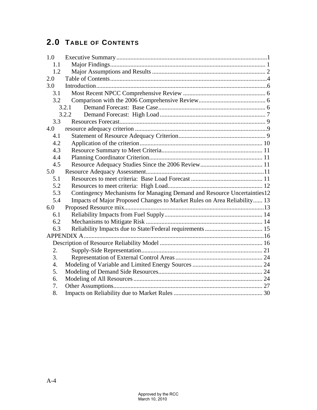# **2.0 TABLE OF CONTENTS**

| 1.0 |                                                                          |  |
|-----|--------------------------------------------------------------------------|--|
| 1.1 |                                                                          |  |
| 1.2 |                                                                          |  |
| 2.0 |                                                                          |  |
| 3.0 |                                                                          |  |
| 3.1 |                                                                          |  |
| 3.2 |                                                                          |  |
|     | 3.2.1                                                                    |  |
|     | 3.2.2                                                                    |  |
| 3.3 |                                                                          |  |
| 4.0 |                                                                          |  |
| 4.1 |                                                                          |  |
| 4.2 |                                                                          |  |
| 4.3 |                                                                          |  |
| 4.4 |                                                                          |  |
| 4.5 |                                                                          |  |
| 5.0 |                                                                          |  |
| 5.1 |                                                                          |  |
| 5.2 |                                                                          |  |
| 5.3 | Contingency Mechanisms for Managing Demand and Resource Uncertainties12  |  |
| 5.4 | Impacts of Major Proposed Changes to Market Rules on Area Reliability 13 |  |
| 6.0 |                                                                          |  |
| 6.1 |                                                                          |  |
| 6.2 |                                                                          |  |
| 6.3 |                                                                          |  |
|     |                                                                          |  |
|     |                                                                          |  |
| 2.  |                                                                          |  |
| 3.  |                                                                          |  |
| 4.  |                                                                          |  |
| 5.  |                                                                          |  |
| 6.  |                                                                          |  |
| 7.  |                                                                          |  |
| 8.  |                                                                          |  |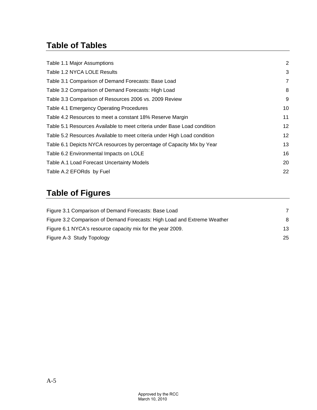# **Table of Tables**

| Table 1.1 Major Assumptions                                              | $\overline{2}$ |
|--------------------------------------------------------------------------|----------------|
| Table 1.2 NYCA LOLE Results                                              | 3              |
| Table 3.1 Comparison of Demand Forecasts: Base Load                      | 7              |
| Table 3.2 Comparison of Demand Forecasts: High Load                      | 8              |
| Table 3.3 Comparison of Resources 2006 vs. 2009 Review                   | 9              |
| Table 4.1 Emergency Operating Procedures                                 | 10             |
| Table 4.2 Resources to meet a constant 18% Reserve Margin                | 11             |
| Table 5.1 Resources Available to meet criteria under Base Load condition | 12             |
| Table 5.2 Resources Available to meet criteria under High Load condition | 12             |
| Table 6.1 Depicts NYCA resources by percentage of Capacity Mix by Year   | 13             |
| Table 6.2 Environmental Impacts on LOLE                                  | 16             |
| Table A.1 Load Forecast Uncertainty Models                               | 20             |
| Table A.2 EFORds by Fuel                                                 | 22             |
|                                                                          |                |

# **Table of Figures**

| Figure 3.1 Comparison of Demand Forecasts: Base Load                     |    |
|--------------------------------------------------------------------------|----|
| Figure 3.2 Comparison of Demand Forecasts: High Load and Extreme Weather | 8  |
| Figure 6.1 NYCA's resource capacity mix for the year 2009.               | 13 |
| Figure A-3 Study Topology                                                | 25 |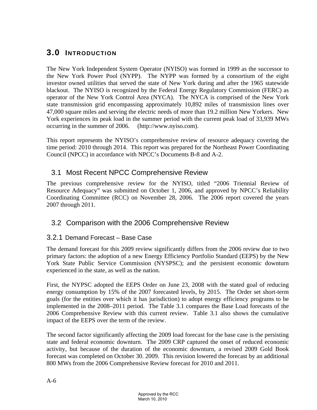## **3.0 INTRODUCTION**

The New York Independent System Operator (NYISO) was formed in 1999 as the successor to the New York Power Pool (NYPP). The NYPP was formed by a consortium of the eight investor owned utilities that served the state of New York during and after the 1965 statewide blackout. The NYISO is recognized by the Federal Energy Regulatory Commission (FERC) as operator of the New York Control Area (NYCA). The NYCA is comprised of the New York state transmission grid encompassing approximately 10,892 miles of transmission lines over 47,000 square miles and serving the electric needs of more than 19.2 million New Yorkers. New York experiences its peak load in the summer period with the current peak load of 33,939 MWs occurring in the summer of 2006. (http://www.nyiso.com).

This report represents the NYISO's comprehensive review of resource adequacy covering the time period: 2010 through 2014. This report was prepared for the Northeast Power Coordinating Council (NPCC) in accordance with NPCC's Documents B-8 and A-2.

### 3.1 Most Recent NPCC Comprehensive Review

The previous comprehensive review for the NYISO, titled "2006 Triennial Review of Resource Adequacy" was submitted on October 1, 2006, and approved by NPCC's Reliability Coordinating Committee (RCC) on November 28, 2006. The 2006 report covered the years 2007 through 2011.

### 3.2 Comparison with the 2006 Comprehensive Review

### 3.2.1 Demand Forecast – Base Case

The demand forecast for this 2009 review significantly differs from the 2006 review due to two primary factors: the adoption of a new Energy Efficiency Portfolio Standard (EEPS) by the New York State Public Service Commission (NYSPSC); and the persistent economic downturn experienced in the state, as well as the nation.

First, the NYPSC adopted the EEPS Order on June 23, 2008 with the stated goal of reducing energy consumption by 15% of the 2007 forecasted levels, by 2015. The Order set short-term goals (for the entities over which it has jurisdiction) to adopt energy efficiency programs to be implemented in the 2008–2011 period. The Table 3.1 compares the Base Load forecasts of the 2006 Comprehensive Review with this current review. Table 3.1 also shows the cumulative impact of the EEPS over the term of the review.

The second factor significantly affecting the 2009 load forecast for the base case is the persisting state and federal economic downturn. The 2009 CRP captured the onset of reduced economic activity, but because of the duration of the economic downturn, a revised 2009 Gold Book forecast was completed on October 30. 2009. This revision lowered the forecast by an additional 800 MWs from the 2006 Comprehensive Review forecast for 2010 and 2011.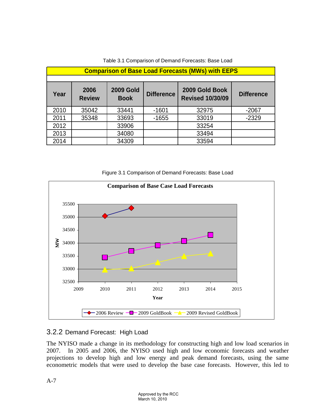|      | <b>Comparison of Base Load Forecasts (MWs) with EEPS</b> |                                 |                   |                                           |                   |  |
|------|----------------------------------------------------------|---------------------------------|-------------------|-------------------------------------------|-------------------|--|
|      |                                                          |                                 |                   |                                           |                   |  |
| Year | 2006<br><b>Review</b>                                    | <b>2009 Gold</b><br><b>Book</b> | <b>Difference</b> | 2009 Gold Book<br><b>Revised 10/30/09</b> | <b>Difference</b> |  |
| 2010 | 35042                                                    | 33441                           | $-1601$           | 32975                                     | $-2067$           |  |
| 2011 | 35348                                                    | 33693                           | $-1655$           | 33019                                     | $-2329$           |  |
| 2012 |                                                          | 33906                           |                   | 33254                                     |                   |  |
| 2013 |                                                          | 34080                           |                   | 33494                                     |                   |  |
| 2014 |                                                          | 34309                           |                   | 33594                                     |                   |  |

Table 3.1 Comparison of Demand Forecasts: Base Load

Figure 3.1 Comparison of Demand Forecasts: Base Load



#### 3.2.2 Demand Forecast: High Load

The NYISO made a change in its methodology for constructing high and low load scenarios in 2007. In 2005 and 2006, the NYISO used high and low economic forecasts and weather projections to develop high and low energy and peak demand forecasts, using the same econometric models that were used to develop the base case forecasts. However, this led to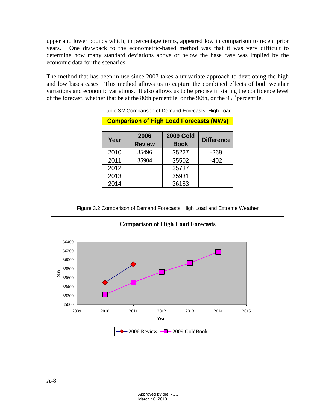upper and lower bounds which, in percentage terms, appeared low in comparison to recent prior years. One drawback to the econometric-based method was that it was very difficult to determine how many standard deviations above or below the base case was implied by the economic data for the scenarios.

The method that has been in use since 2007 takes a univariate approach to developing the high and low bases cases. This method allows us to capture the combined effects of both weather variations and economic variations. It also allows us to be precise in stating the confidence level of the forecast, whether that be at the 80th percentile, or the 90th, or the  $95<sup>th</sup>$  percentile.

| <b>Comparison of High Load Forecasts (MWs)</b> |                       |                                 |                   |  |
|------------------------------------------------|-----------------------|---------------------------------|-------------------|--|
| Year                                           | 2006<br><b>Review</b> | <b>2009 Gold</b><br><b>Book</b> | <b>Difference</b> |  |
| 2010                                           | 35496                 | 35227                           | $-269$            |  |
| 2011                                           | 35904                 | 35502                           | $-402$            |  |
| 2012                                           |                       | 35737                           |                   |  |
| 2013                                           |                       | 35931                           |                   |  |
| 2014                                           |                       | 36183                           |                   |  |

Table 3.2 Comparison of Demand Forecasts: High Load

Figure 3.2 Comparison of Demand Forecasts: High Load and Extreme Weather

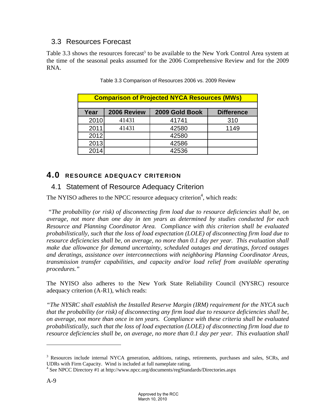### 3.3 Resources Forecast

Table 3.3 shows the resources forecast<sup>3</sup> to be available to the New York Control Area system at the time of the seasonal peaks assumed for the 2006 Comprehensive Review and for the 2009 RNA.

|      | <b>Comparison of Projected NYCA Resources (MWs)</b> |                |                   |  |  |
|------|-----------------------------------------------------|----------------|-------------------|--|--|
|      |                                                     |                |                   |  |  |
| Year | 2006 Review                                         | 2009 Gold Book | <b>Difference</b> |  |  |
| 2010 | 41431                                               | 41741          | 310               |  |  |
| 2011 | 41431                                               | 42580          | 1149              |  |  |
| 2012 |                                                     | 42580          |                   |  |  |
| 2013 |                                                     | 42586          |                   |  |  |
| 2014 |                                                     | 42536          |                   |  |  |

Table 3.3 Comparison of Resources 2006 vs. 2009 Review

### **4.0 RESOURCE ADEQUACY CRITERION**

### 4.1 Statement of Resource Adequacy Criterion

The NYISO adheres to the NPCC resource adequacy criterion<sup>4</sup>, which reads:

 *"The probability (or risk) of disconnecting firm load due to resource deficiencies shall be, on average, not more than one day in ten years as determined by studies conducted for each Resource and Planning Coordinator Area. Compliance with this criterion shall be evaluated probabilistically, such that the loss of load expectation (LOLE) of disconnecting firm load due to resource deficiencies shall be, on average, no more than 0.1 day per year. This evaluation shall make due allowance for demand uncertainty, scheduled outages and deratings, forced outages and deratings, assistance over interconnections with neighboring Planning Coordinator Areas, transmission transfer capabilities, and capacity and/or load relief from available operating procedures."* 

The NYISO also adheres to the New York State Reliability Council (NYSRC) resource adequacy criterion (A-R1), which reads:

*"The NYSRC shall establish the Installed Reserve Margin (IRM) requirement for the NYCA such that the probability (or risk) of disconnecting any firm load due to resource deficiencies shall be, on average, not more than once in ten years. Compliance with these criteria shall be evaluated probabilistically, such that the loss of load expectation (LOLE) of disconnecting firm load due to resource deficiencies shall be, on average, no more than 0.1 day per year. This evaluation shall* 

<u>.</u>

<sup>&</sup>lt;sup>3</sup> Resources include internal NYCA generation, additions, ratings, retirements, purchases and sales, SCRs, and UDRs with Firm Capacity. Wind is included at full nameplate rating. 4

<sup>&</sup>lt;sup>4</sup> See NPCC Directory #1 at http://www.npcc.org/documents/regStandards/Directories.aspx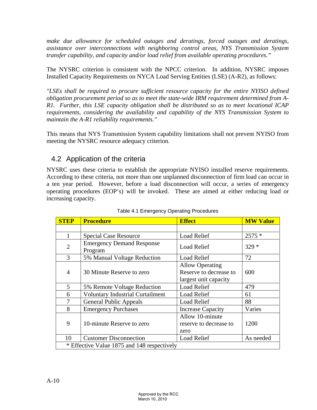*make due allowance for scheduled outages and deratings, forced outages and deratings, assistance over interconnections with neighboring control areas, NYS Transmission System transfer capability, and capacity and/or load relief from available operating procedures."* 

The NYSRC criterion is consistent with the NPCC criterion. In addition, NYSRC imposes Installed Capacity Requirements on NYCA Load Serving Entities (LSE) (A-R2), as follows:

*"LSEs shall be required to procure sufficient resource capacity for the entire NYISO defined obligation procurement period so as to meet the state-wide IRM requirement determined from A-R1. Further, this LSE capacity obligation shall be distributed so as to meet locational ICAP requirements, considering the availability and capability of the NYS Transmission System to maintain the A-R1 reliability requirements."* 

This means that NYS Transmission System capability limitations shall not prevent NYISO from meeting the NYSRC resource adequacy criterion.

### 4.2 Application of the criteria

NYSRC uses these criteria to establish the appropriate NYISO installed reserve requirements. According to these criteria, not more than one unplanned disconnection of firm load can occur in a ten year period. However, before a load disconnection will occur, a series of emergency operating procedures (EOP's) will be invoked. These are aimed at either reducing load or increasing capacity.

| <b>STEP</b>                                 | <b>Procedure</b>                            | <b>Effect</b>                                                             | <b>MW Value</b> |  |
|---------------------------------------------|---------------------------------------------|---------------------------------------------------------------------------|-----------------|--|
|                                             |                                             |                                                                           |                 |  |
| 1                                           | <b>Special Case Resource</b>                | <b>Load Relief</b>                                                        | $2575*$         |  |
| $\overline{2}$                              | <b>Emergency Demand Response</b><br>Program | <b>Load Relief</b>                                                        | $329 *$         |  |
| 3                                           | 5% Manual Voltage Reduction                 | <b>Load Relief</b>                                                        | 72              |  |
| 4                                           | 30 Minute Reserve to zero                   | <b>Allow Operating</b><br>Reserve to decrease to<br>largest unit capacity | 600             |  |
| 5                                           | 5% Remote Voltage Reduction                 | <b>Load Relief</b>                                                        | 479             |  |
| 6                                           | <b>Voluntary Industrial Curtailment</b>     | Load Relief                                                               | 61              |  |
| $\overline{7}$                              | <b>General Public Appeals</b>               | <b>Load Relief</b>                                                        | 88              |  |
| 8                                           | <b>Emergency Purchases</b>                  | <b>Increase Capacity</b>                                                  | Varies          |  |
| 9                                           | 10-minute Reserve to zero                   | Allow 10-minute<br>reserve to decrease to<br>zero                         | 1200            |  |
| 10                                          | <b>Customer Disconnection</b>               | <b>Load Relief</b>                                                        | As needed       |  |
| * Effective Value 1875 and 148 respectively |                                             |                                                                           |                 |  |

| Table 4.1 Emergency Operating Procedures |
|------------------------------------------|
|------------------------------------------|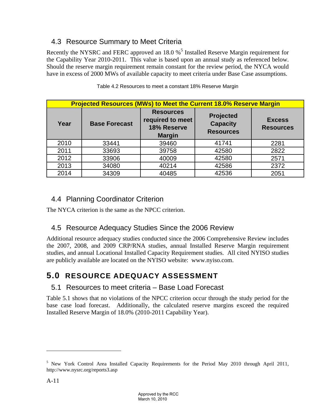### 4.3 Resource Summary to Meet Criteria

Recently the NYSRC and FERC approved an  $18.0\%$ <sup>5</sup> Installed Reserve Margin requirement for the Capability Year 2010-2011. This value is based upon an annual study as referenced below. Should the reserve margin requirement remain constant for the review period, the NYCA would have in excess of 2000 MWs of available capacity to meet criteria under Base Case assumptions.

|                                               | <b>Projected Resources (MWs) to Meet the Current 18.0% Reserve Margin</b> |                                                     |                                                  |                                   |  |  |
|-----------------------------------------------|---------------------------------------------------------------------------|-----------------------------------------------------|--------------------------------------------------|-----------------------------------|--|--|
| Year<br><b>Base Forecast</b><br><b>Margin</b> |                                                                           | <b>Resources</b><br>required to meet<br>18% Reserve | Projected<br><b>Capacity</b><br><b>Resources</b> | <b>Excess</b><br><b>Resources</b> |  |  |
| 2010                                          | 33441                                                                     | 39460                                               | 41741                                            | 2281                              |  |  |
| 2011                                          | 33693                                                                     | 39758                                               | 42580                                            | 2822                              |  |  |
| 2012                                          | 33906                                                                     | 40009                                               | 42580                                            | 2571                              |  |  |
| 2013                                          | 34080                                                                     | 40214                                               | 42586                                            | 2372                              |  |  |
| 2014                                          | 34309                                                                     | 40485                                               | 42536                                            | 2051                              |  |  |

Table 4.2 Resources to meet a constant 18% Reserve Margin

### 4.4 Planning Coordinator Criterion

The NYCA criterion is the same as the NPCC criterion.

### 4.5 Resource Adequacy Studies Since the 2006 Review

Additional resource adequacy studies conducted since the 2006 Comprehensive Review includes the 2007, 2008, and 2009 CRP/RNA studies, annual Installed Reserve Margin requirement studies, and annual Locational Installed Capacity Requirement studies. All cited NYISO studies are publicly available are located on the NYISO website: www.nyiso.com.

# **5.0 RESOURCE ADEQUACY ASSESSMENT**

### 5.1 Resources to meet criteria – Base Load Forecast

Table 5.1 shows that no violations of the NPCC criterion occur through the study period for the base case load forecast. Additionally, the calculated reserve margins exceed the required Installed Reserve Margin of 18.0% (2010-2011 Capability Year).

 $\overline{a}$ 

<sup>&</sup>lt;sup>5</sup> New York Control Area Installed Capacity Requirements for the Period May 2010 through April 2011, http://www.nysrc.org/reports3.asp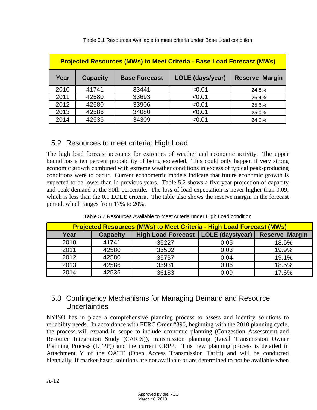|      | <b>Projected Resources (MWs) to Meet Criteria - Base Load Forecast (MWs)</b> |                      |                  |                       |  |
|------|------------------------------------------------------------------------------|----------------------|------------------|-----------------------|--|
| Year | <b>Capacity</b>                                                              | <b>Base Forecast</b> | LOLE (days/year) | <b>Reserve Margin</b> |  |
| 2010 | 41741                                                                        | 33441                | < 0.01           | 24.8%                 |  |
| 2011 | 42580                                                                        | 33693                | < 0.01           | 26.4%                 |  |
| 2012 | 42580                                                                        | 33906                | < 0.01           | 25.6%                 |  |
| 2013 | 42586                                                                        | 34080                | < 0.01           | 25.0%                 |  |
| 2014 | 42536                                                                        | 34309                | < 0.01           | 24.0%                 |  |

Table 5.1 Resources Available to meet criteria under Base Load condition

### 5.2 Resources to meet criteria: High Load

The high load forecast accounts for extremes of weather and economic activity. The upper bound has a ten percent probability of being exceeded. This could only happen if very strong economic growth combined with extreme weather conditions in excess of typical peak-producing conditions were to occur. Current econometric models indicate that future economic growth is expected to be lower than in previous years. Table 5.2 shows a five year projection of capacity and peak demand at the 90th percentile. The loss of load expectation is never higher than 0.09, which is less than the 0.1 LOLE criteria. The table also shows the reserve margin in the forecast period, which ranges from 17% to 20%.

| <b>Projected Resources (MWs) to Meet Criteria - High Load Forecast (MWs)</b> |                 |                                       |      |                       |  |
|------------------------------------------------------------------------------|-----------------|---------------------------------------|------|-----------------------|--|
| Year                                                                         | <b>Capacity</b> | High Load Forecast   LOLE (days/year) |      | <b>Reserve Margin</b> |  |
| 2010                                                                         | 41741           | 35227                                 | 0.05 | 18.5%                 |  |
| 2011                                                                         | 42580           | 35502                                 | 0.03 | 19.9%                 |  |
| 2012                                                                         | 42580           | 35737                                 | 0.04 | 19.1%                 |  |
| 2013                                                                         | 42586           | 35931                                 | 0.06 | 18.5%                 |  |
| 2014                                                                         | 42536           | 36183                                 | 0.09 | 17.6%                 |  |

Table 5.2 Resources Available to meet criteria under High Load condition

### 5.3 Contingency Mechanisms for Managing Demand and Resource **Uncertainties**

NYISO has in place a comprehensive planning process to assess and identify solutions to reliability needs. In accordance with FERC Order #890, beginning with the 2010 planning cycle, the process will expand in scope to include economic planning (Congestion Assessment and Resource Integration Study (CARIS)), transmission planning (Local Transmission Owner Planning Process (LTPP)) and the current CRPP. This new planning process is detailed in Attachment Y of the OATT (Open Access Transmission Tariff) and will be conducted biennially. If market-based solutions are not available or are determined to not be available when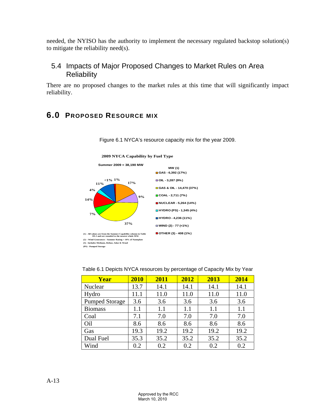needed, the NYISO has the authority to implement the necessary regulated backstop solution(s) to mitigate the reliability need(s).

### 5.4 Impacts of Major Proposed Changes to Market Rules on Area **Reliability**

There are no proposed changes to the market rules at this time that will significantly impact reliability.

### **6.0 PROPOSED RESOURCE MIX**

Figure 6.1 NYCA's resource capacity mix for the year 2009.

**2009 NYCA Capability by Fuel Type**



| <b>Year</b>           | 2010    | 2011 | 2012 | 2013 | 2014 |
|-----------------------|---------|------|------|------|------|
| Nuclear               | 13.7    | 14.1 | 14.1 | 14.1 | 14.1 |
| Hydro                 | 11.1    | 11.0 | 11.0 | 11.0 | 11.0 |
| <b>Pumped Storage</b> | 3.6     | 3.6  | 3.6  | 3.6  | 3.6  |
| <b>Biomass</b>        | $1.1\,$ | 1.1  | 1.1  | 1.1  | 1.1  |
| Coal                  | 7.1     | 7.0  | 7.0  | 7.0  | 7.0  |
| Oil                   | 8.6     | 8.6  | 8.6  | 8.6  | 8.6  |
| Gas                   | 19.3    | 19.2 | 19.2 | 19.2 | 19.2 |
| Dual Fuel             | 35.3    | 35.2 | 35.2 | 35.2 | 35.2 |
| Wind                  | 0.2     | 0.2  | 0.2  | 0.2  | 0.2  |

#### Table 6.1 Depicts NYCA resources by percentage of Capacity Mix by Year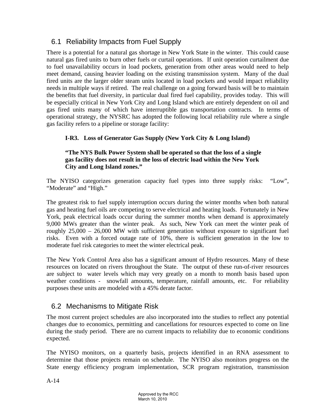### 6.1 Reliability Impacts from Fuel Supply

There is a potential for a natural gas shortage in New York State in the winter. This could cause natural gas fired units to burn other fuels or curtail operations. If unit operation curtailment due to fuel unavailability occurs in load pockets, generation from other areas would need to help meet demand, causing heavier loading on the existing transmission system. Many of the dual fired units are the larger older steam units located in load pockets and would impact reliability needs in multiple ways if retired. The real challenge on a going forward basis will be to maintain the benefits that fuel diversity, in particular dual fired fuel capability, provides today. This will be especially critical in New York City and Long Island which are entirely dependent on oil and gas fired units many of which have interruptible gas transportation contracts. In terms of operational strategy, the NYSRC has adopted the following local reliability rule where a single gas facility refers to a pipeline or storage facility:

### **I-R3. Loss of Generator Gas Supply (New York City & Long Island)**

#### **"The NYS Bulk Power System shall be operated so that the loss of a single gas facility does not result in the loss of electric load within the New York City and Long Island zones."**

The NYISO categorizes generation capacity fuel types into three supply risks: "Low", "Moderate" and "High."

The greatest risk to fuel supply interruption occurs during the winter months when both natural gas and heating fuel oils are competing to serve electrical and heating loads. Fortunately in New York, peak electrical loads occur during the summer months when demand is approximately 9,000 MWs greater than the winter peak. As such, New York can meet the winter peak of roughly 25,000 – 26,000 MW with sufficient generation without exposure to significant fuel risks. Even with a forced outage rate of 10%, there is sufficient generation in the low to moderate fuel risk categories to meet the winter electrical peak.

The New York Control Area also has a significant amount of Hydro resources. Many of these resources on located on rivers throughout the State. The output of these run-of-river resources are subject to water levels which may very greatly on a month to month basis based upon weather conditions - snowfall amounts, temperature, rainfall amounts, etc. For reliability purposes these units are modeled with a 45% derate factor.

### 6.2 Mechanisms to Mitigate Risk

The most current project schedules are also incorporated into the studies to reflect any potential changes due to economics, permitting and cancellations for resources expected to come on line during the study period. There are no current impacts to reliability due to economic conditions expected.

The NYISO monitors, on a quarterly basis, projects identified in an RNA assessment to determine that those projects remain on schedule. The NYISO also monitors progress on the State energy efficiency program implementation, SCR program registration, transmission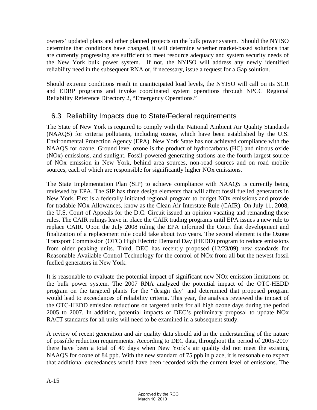owners' updated plans and other planned projects on the bulk power system. Should the NYISO determine that conditions have changed, it will determine whether market-based solutions that are currently progressing are sufficient to meet resource adequacy and system security needs of the New York bulk power system. If not, the NYISO will address any newly identified reliability need in the subsequent RNA or, if necessary, issue a request for a Gap solution.

Should extreme conditions result in unanticipated load levels, the NYISO will call on its SCR and EDRP programs and invoke coordinated system operations through NPCC Regional Reliability Reference Directory 2, "Emergency Operations."

### 6.3 Reliability Impacts due to State/Federal requirements

The State of New York is required to comply with the National Ambient Air Quality Standards (NAAQS) for criteria pollutants, including ozone, which have been established by the U.S. Environmental Protection Agency (EPA). New York State has not achieved compliance with the NAAQS for ozone. Ground level ozone is the product of hydrocarbons (HC) and nitrous oxide (NOx) emissions, and sunlight. Fossil-powered generating stations are the fourth largest source of NOx emission in New York, behind area sources, non-road sources and on road mobile sources, each of which are responsible for significantly higher NOx emissions.

The State Implementation Plan (SIP) to achieve compliance with NAAQS is currently being reviewed by EPA. The SIP has three design elements that will affect fossil fuelled generators in New York. First is a federally initiated regional program to budget NOx emissions and provide for tradable NOx Allowances, know as the Clean Air Interstate Rule (CAIR). On July 11, 2008, the U.S. Court of Appeals for the D.C. Circuit issued an opinion vacating and remanding these rules. The CAIR rulings leave in place the CAIR trading programs until EPA issues a new rule to replace CAIR. Upon the July 2008 ruling the EPA informed the Court that development and finalization of a replacement rule could take about two years. The second element is the Ozone Transport Commission (OTC) High Electric Demand Day (HEDD) program to reduce emissions from older peaking units. Third, DEC has recently proposed (12/23/09) new standards for Reasonable Available Control Technology for the control of NOx from all but the newest fossil fuelled generators in New York.

It is reasonable to evaluate the potential impact of significant new NOx emission limitations on the bulk power system. The 2007 RNA analyzed the potential impact of the OTC-HEDD program on the targeted plants for the "design day" and determined that proposed program would lead to exceedances of reliability criteria. This year, the analysis reviewed the impact of the OTC-HEDD emission reductions on targeted units for all high ozone days during the period 2005 to 2007. In addition, potential impacts of DEC's preliminary proposal to update NOx RACT standards for all units will need to be examined in a subsequent study.

A review of recent generation and air quality data should aid in the understanding of the nature of possible reduction requirements. According to DEC data, throughout the period of 2005-2007 there have been a total of 49 days when New York's air quality did not meet the existing NAAQS for ozone of 84 ppb. With the new standard of 75 ppb in place, it is reasonable to expect that additional exceedances would have been recorded with the current level of emissions. The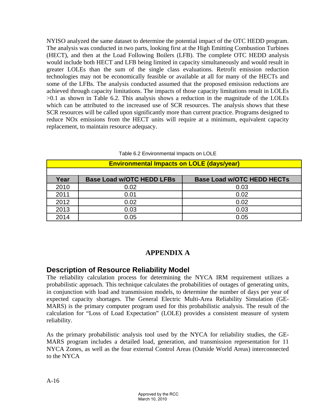NYISO analyzed the same dataset to determine the potential impact of the OTC HEDD program. The analysis was conducted in two parts, looking first at the High Emitting Combustion Turbines (HECT), and then at the Load Following Boilers (LFB). The complete OTC HEDD analysis would include both HECT and LFB being limited in capacity simultaneously and would result in greater LOLEs than the sum of the single class evaluations. Retrofit emission reduction technologies may not be economically feasible or available at all for many of the HECTs and some of the LFBs. The analysis conducted assumed that the proposed emission reductions are achieved through capacity limitations. The impacts of those capacity limitations result in LOLEs >0.1 as shown in Table 6.2. This analysis shows a reduction in the magnitude of the LOLEs which can be attributed to the increased use of SCR resources. The analysis shows that these SCR resources will be called upon significantly more than current practice. Programs designed to reduce NOx emissions from the HECT units will require at a minimum, equivalent capacity replacement, to maintain resource adequacy.

| <b>Environmental Impacts on LOLE (days/year)</b>                              |      |      |  |  |
|-------------------------------------------------------------------------------|------|------|--|--|
| Year<br><b>Base Load w/OTC HEDD LFBs</b><br><b>Base Load w/OTC HEDD HECTs</b> |      |      |  |  |
| 2010                                                                          | 0.02 | 0.03 |  |  |
| 2011                                                                          | 0.01 | 0.02 |  |  |
| 2012                                                                          | 0.02 | 0.02 |  |  |
| 2013                                                                          | 0.03 | 0.03 |  |  |
| 2014                                                                          | 0.05 | 0.05 |  |  |

Table 6.2 Environmental Impacts on LOLE

#### **APPENDIX A**

#### **Description of Resource Reliability Model**

The reliability calculation process for determining the NYCA IRM requirement utilizes a probabilistic approach. This technique calculates the probabilities of outages of generating units, in conjunction with load and transmission models, to determine the number of days per year of expected capacity shortages. The General Electric Multi-Area Reliability Simulation (GE-MARS) is the primary computer program used for this probabilistic analysis. The result of the calculation for "Loss of Load Expectation" (LOLE) provides a consistent measure of system reliability.

As the primary probabilistic analysis tool used by the NYCA for reliability studies, the GE-MARS program includes a detailed load, generation, and transmission representation for 11 NYCA Zones, as well as the four external Control Areas (Outside World Areas) interconnected to the NYCA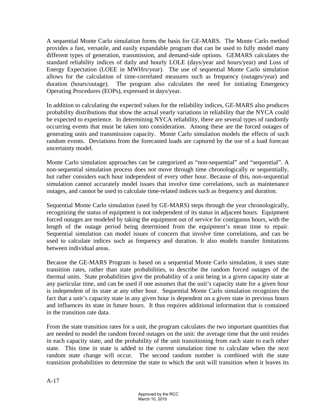A sequential Monte Carlo simulation forms the basis for GE-MARS. The Monte Carlo method provides a fast, versatile, and easily expandable program that can be used to fully model many different types of generation, transmission, and demand-side options. GEMARS calculates the standard reliability indices of daily and hourly LOLE (days/year and hours/year) and Loss of Energy Expectation (LOEE in MWHrs/year). The use of sequential Monte Carlo simulation allows for the calculation of time-correlated measures such as frequency (outages/year) and duration (hours/outage). The program also calculates the need for initiating Emergency Operating Procedures (EOPs), expressed in days/year.

In addition to calculating the expected values for the reliability indices, GE-MARS also produces probability distributions that show the actual yearly variations in reliability that the NYCA could be expected to experience. In determining NYCA reliability, there are several types of randomly occurring events that must be taken into consideration. Among these are the forced outages of generating units and transmission capacity. Monte Carlo simulation models the effects of such random events. Deviations from the forecasted loads are captured by the use of a load forecast uncertainty model.

Monte Carlo simulation approaches can be categorized as "non-sequential" and "sequential". A non-sequential simulation process does not move through time chronologically or sequentially, but rather considers each hour independent of every other hour. Because of this, non-sequential simulation cannot accurately model issues that involve time correlations, such as maintenance outages, and cannot be used to calculate time-related indices such as frequency and duration.

Sequential Monte Carlo simulation (used by GE-MARS) steps through the year chronologically, recognizing the status of equipment is not independent of its status in adjacent hours. Equipment forced outages are modeled by taking the equipment out of service for contiguous hours, with the length of the outage period being determined from the equipment's mean time to repair. Sequential simulation can model issues of concern that involve time correlations, and can be used to calculate indices such as frequency and duration. It also models transfer limitations between individual areas.

Because the GE-MARS Program is based on a sequential Monte Carlo simulation, it uses state transition rates, rather than state probabilities, to describe the random forced outages of the thermal units. State probabilities give the probability of a unit being in a given capacity state at any particular time, and can be used if one assumes that the unit's capacity state for a given hour is independent of its state at any other hour. Sequential Monte Carlo simulation recognizes the fact that a unit's capacity state in any given hour is dependent on a given state in previous hours and influences its state in future hours. It thus requires additional information that is contained in the transition rate data.

From the state transition rates for a unit, the program calculates the two important quantities that are needed to model the random forced outages on the unit: the average time that the unit resides in each capacity state, and the probability of the unit transitioning from each state to each other state. This time in state is added to the current simulation time to calculate when the next random state change will occur. The second random number is combined with the state transition probabilities to determine the state to which the unit will transition when it leaves its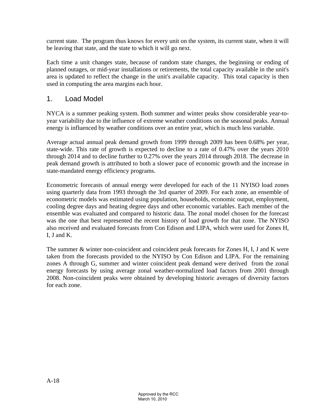current state. The program thus knows for every unit on the system, its current state, when it will be leaving that state, and the state to which it will go next.

Each time a unit changes state, because of random state changes, the beginning or ending of planned outages, or mid-year installations or retirements, the total capacity available in the unit's area is updated to reflect the change in the unit's available capacity. This total capacity is then used in computing the area margins each hour.

#### 1. Load Model

NYCA is a summer peaking system. Both summer and winter peaks show considerable year-toyear variability due to the influence of extreme weather conditions on the seasonal peaks. Annual energy is influenced by weather conditions over an entire year, which is much less variable.

Average actual annual peak demand growth from 1999 through 2009 has been 0.68% per year, state-wide. This rate of growth is expected to decline to a rate of 0.47% over the years 2010 through 2014 and to decline further to 0.27% over the years 2014 through 2018. The decrease in peak demand growth is attributed to both a slower pace of economic growth and the increase in state-mandated energy efficiency programs.

Econometric forecasts of annual energy were developed for each of the 11 NYISO load zones using quarterly data from 1993 through the 3rd quarter of 2009. For each zone, an ensemble of econometric models was estimated using population, households, economic output, employment, cooling degree days and heating degree days and other economic variables. Each member of the ensemble was evaluated and compared to historic data. The zonal model chosen for the forecast was the one that best represented the recent history of load growth for that zone. The NYISO also received and evaluated forecasts from Con Edison and LIPA, which were used for Zones H, I, J and K.

The summer & winter non-coincident and coincident peak forecasts for Zones H, I, J and K were taken from the forecasts provided to the NYISO by Con Edison and LIPA. For the remaining zones A through G, summer and winter coincident peak demand were derived from the zonal energy forecasts by using average zonal weather-normalized load factors from 2001 through 2008. Non-coincident peaks were obtained by developing historic averages of diversity factors for each zone.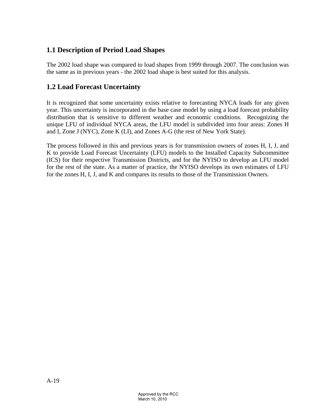### **1.1 Description of Period Load Shapes**

The 2002 load shape was compared to load shapes from 1999 through 2007. The conclusion was the same as in previous years - the 2002 load shape is best suited for this analysis.

#### **1.2 Load Forecast Uncertainty**

It is recognized that some uncertainty exists relative to forecasting NYCA loads for any given year. This uncertainty is incorporated in the base case model by using a load forecast probability distribution that is sensitive to different weather and economic conditions. Recognizing the unique LFU of individual NYCA areas, the LFU model is subdivided into four areas: Zones H and I, Zone J (NYC), Zone K (LI), and Zones A-G (the rest of New York State).

The process followed in this and previous years is for transmission owners of zones H, I, J, and K to provide Load Forecast Uncertainty (LFU) models to the Installed Capacity Subcommittee (ICS) for their respective Transmission Districts, and for the NYISO to develop an LFU model for the rest of the state. As a matter of practice, the NYISO develops its own estimates of LFU for the zones H, I, J, and K and compares its results to those of the Transmission Owners.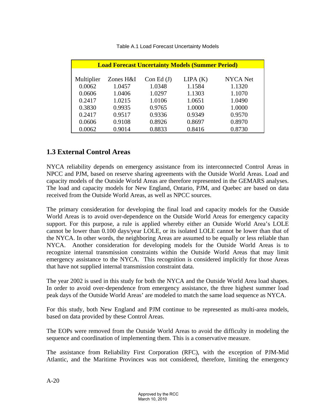| <b>Load Forecast Uncertainty Models (Summer Period)</b> |           |              |         |                 |
|---------------------------------------------------------|-----------|--------------|---------|-----------------|
|                                                         |           |              |         |                 |
| Multiplier                                              | Zones H&I | Con Ed $(J)$ | LIPA(K) | <b>NYCA</b> Net |
| 0.0062                                                  | 1.0457    | 1.0348       | 1.1584  | 1.1320          |
| 0.0606                                                  | 1.0406    | 1.0297       | 1.1303  | 1.1070          |
| 0.2417                                                  | 1.0215    | 1.0106       | 1.0651  | 1.0490          |
| 0.3830                                                  | 0.9935    | 0.9765       | 1.0000  | 1.0000          |
| 0.2417                                                  | 0.9517    | 0.9336       | 0.9349  | 0.9570          |
| 0.0606                                                  | 0.9108    | 0.8926       | 0.8697  | 0.8970          |
| 0.0062                                                  | 0.9014    | 0.8833       | 0.8416  | 0.8730          |

Table A.1 Load Forecast Uncertainty Models

### **1.3 External Control Areas**

NYCA reliability depends on emergency assistance from its interconnected Control Areas in NPCC and PJM, based on reserve sharing agreements with the Outside World Areas. Load and capacity models of the Outside World Areas are therefore represented in the GEMARS analyses. The load and capacity models for New England, Ontario, PJM, and Quebec are based on data received from the Outside World Areas, as well as NPCC sources.

The primary consideration for developing the final load and capacity models for the Outside World Areas is to avoid over-dependence on the Outside World Areas for emergency capacity support. For this purpose, a rule is applied whereby either an Outside World Area's LOLE cannot be lower than 0.100 days/year LOLE, or its isolated LOLE cannot be lower than that of the NYCA. In other words, the neighboring Areas are assumed to be equally or less reliable than NYCA. Another consideration for developing models for the Outside World Areas is to recognize internal transmission constraints within the Outside World Areas that may limit emergency assistance to the NYCA. This recognition is considered implicitly for those Areas that have not supplied internal transmission constraint data.

The year 2002 is used in this study for both the NYCA and the Outside World Area load shapes. In order to avoid over-dependence from emergency assistance, the three highest summer load peak days of the Outside World Areas' are modeled to match the same load sequence as NYCA.

For this study, both New England and PJM continue to be represented as multi-area models, based on data provided by these Control Areas.

The EOPs were removed from the Outside World Areas to avoid the difficulty in modeling the sequence and coordination of implementing them. This is a conservative measure.

The assistance from Reliability First Corporation (RFC), with the exception of PJM-Mid Atlantic, and the Maritime Provinces was not considered, therefore, limiting the emergency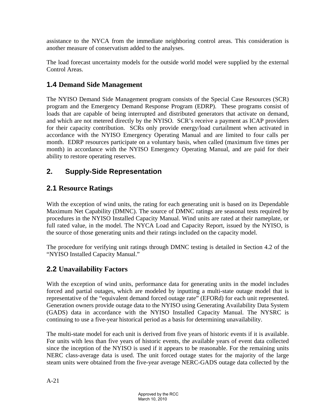assistance to the NYCA from the immediate neighboring control areas. This consideration is another measure of conservatism added to the analyses.

The load forecast uncertainty models for the outside world model were supplied by the external Control Areas.

### **1.4 Demand Side Management**

The NYISO Demand Side Management program consists of the Special Case Resources (SCR) program and the Emergency Demand Response Program (EDRP). These programs consist of loads that are capable of being interrupted and distributed generators that activate on demand, and which are not metered directly by the NYISO. SCR's receive a payment as ICAP providers for their capacity contribution. SCRs only provide energy/load curtailment when activated in accordance with the NYISO Emergency Operating Manual and are limited to four calls per month. EDRP resources participate on a voluntary basis, when called (maximum five times per month) in accordance with the NYISO Emergency Operating Manual, and are paid for their ability to restore operating reserves.

### **2. Supply-Side Representation**

### **2.1 Resource Ratings**

With the exception of wind units, the rating for each generating unit is based on its Dependable Maximum Net Capability (DMNC). The source of DMNC ratings are seasonal tests required by procedures in the NYISO Installed Capacity Manual. Wind units are rated at their nameplate, or full rated value, in the model. The NYCA Load and Capacity Report, issued by the NYISO, is the source of those generating units and their ratings included on the capacity model.

The procedure for verifying unit ratings through DMNC testing is detailed in Section 4.2 of the "NYISO Installed Capacity Manual."

### **2.2 Unavailability Factors**

With the exception of wind units, performance data for generating units in the model includes forced and partial outages, which are modeled by inputting a multi-state outage model that is representative of the "equivalent demand forced outage rate" (EFORd) for each unit represented. Generation owners provide outage data to the NYISO using Generating Availability Data System (GADS) data in accordance with the NYISO Installed Capacity Manual. The NYSRC is continuing to use a five-year historical period as a basis for determining unavailability.

The multi-state model for each unit is derived from five years of historic events if it is available. For units with less than five years of historic events, the available years of event data collected since the inception of the NYISO is used if it appears to be reasonable. For the remaining units NERC class-average data is used. The unit forced outage states for the majority of the large steam units were obtained from the five-year average NERC-GADS outage data collected by the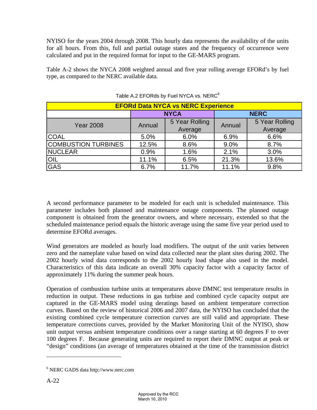NYISO for the years 2004 through 2008. This hourly data represents the availability of the units for all hours. From this, full and partial outage states and the frequency of occurrence were calculated and put in the required format for input to the GE-MARS program.

Table A-2 shows the NYCA 2008 weighted annual and five year rolling average EFORd's by fuel type, as compared to the NERC available data.

| <b>EFORd Data NYCA vs NERC Experience</b> |             |                                     |             |                           |  |
|-------------------------------------------|-------------|-------------------------------------|-------------|---------------------------|--|
|                                           | <b>NYCA</b> |                                     | <b>NERC</b> |                           |  |
| <b>Year 2008</b>                          | Annual      | 5 Year Rolling<br>Annual<br>Average |             | 5 Year Rolling<br>Average |  |
| <b>COAL</b>                               | 5.0%        | 6.0%                                | 6.9%        | 6.6%                      |  |
| COMBUSTION TURBINES                       | 12.5%       | 8.6%                                | 9.0%        | 8.7%                      |  |
| <b>NUCLEAR</b>                            | 0.9%        | 1.6%                                | 2.1%        | 3.0%                      |  |
| OIL                                       | 11.1%       | 6.5%                                | 21.3%       | 13.6%                     |  |
| GAS                                       | 6.7%        | 11.7%                               | 11.1%       | 9.8%                      |  |

Table A.2 EFORds by Fuel NYCA vs. NERC<sup>6</sup>

A second performance parameter to be modeled for each unit is scheduled maintenance. This parameter includes both planned and maintenance outage components. The planned outage component is obtained from the generator owners, and where necessary, extended so that the scheduled maintenance period equals the historic average using the same five year period used to determine EFORd averages.

Wind generators are modeled as hourly load modifiers. The output of the unit varies between zero and the nameplate value based on wind data collected near the plant sites during 2002. The 2002 hourly wind data corresponds to the 2002 hourly load shape also used in the model. Characteristics of this data indicate an overall 30% capacity factor with a capacity factor of approximately 11% during the summer peak hours.

Operation of combustion turbine units at temperatures above DMNC test temperature results in reduction in output. These reductions in gas turbine and combined cycle capacity output are captured in the GE-MARS model using deratings based on ambient temperature correction curves. Based on the review of historical 2006 and 2007 data, the NYISO has concluded that the existing combined cycle temperature correction curves are still valid and appropriate. These temperature corrections curves, provided by the Market Monitoring Unit of the NYISO, show unit output versus ambient temperature conditions over a range starting at 60 degrees F to over 100 degrees F. Because generating units are required to report their DMNC output at peak or "design" conditions (an average of temperatures obtained at the time of the transmission district

 $\overline{a}$ 

<sup>6</sup> NERC GADS data http://www.nerc.com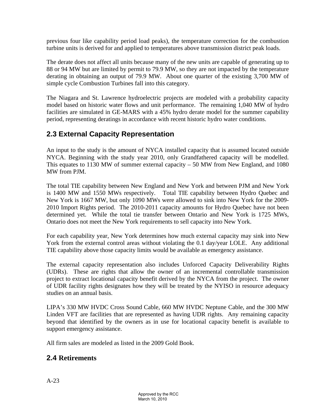previous four like capability period load peaks), the temperature correction for the combustion turbine units is derived for and applied to temperatures above transmission district peak loads.

The derate does not affect all units because many of the new units are capable of generating up to 88 or 94 MW but are limited by permit to 79.9 MW, so they are not impacted by the temperature derating in obtaining an output of 79.9 MW. About one quarter of the existing 3,700 MW of simple cycle Combustion Turbines fall into this category.

The Niagara and St. Lawrence hydroelectric projects are modeled with a probability capacity model based on historic water flows and unit performance. The remaining 1,040 MW of hydro facilities are simulated in GE-MARS with a 45% hydro derate model for the summer capability period, representing deratings in accordance with recent historic hydro water conditions.

### **2.3 External Capacity Representation**

An input to the study is the amount of NYCA installed capacity that is assumed located outside NYCA. Beginning with the study year 2010, only Grandfathered capacity will be modelled. This equates to 1130 MW of summer external capacity  $-50$  MW from New England, and 1080 MW from PJM.

The total TIE capability between New England and New York and between PJM and New York is 1400 MW and 1550 MWs respectively. Total TIE capability between Hydro Quebec and New York is 1667 MW, but only 1090 MWs were allowed to sink into New York for the 2009- 2010 Import Rights period. The 2010-2011 capacity amounts for Hydro Quebec have not been determined yet. While the total tie transfer between Ontario and New York is 1725 MWs, Ontario does not meet the New York requirements to sell capacity into New York.

For each capability year, New York determines how much external capacity may sink into New York from the external control areas without violating the 0.1 day/year LOLE. Any additional TIE capability above those capacity limits would be available as emergency assistance.

The external capacity representation also includes Unforced Capacity Deliverability Rights (UDRs). These are rights that allow the owner of an incremental controllable transmission project to extract locational capacity benefit derived by the NYCA from the project. The owner of UDR facility rights designates how they will be treated by the NYISO in resource adequacy studies on an annual basis.

LIPA's 330 MW HVDC Cross Sound Cable, 660 MW HVDC Neptune Cable, and the 300 MW Linden VFT are facilities that are represented as having UDR rights. Any remaining capacity beyond that identified by the owners as in use for locational capacity benefit is available to support emergency assistance.

All firm sales are modeled as listed in the 2009 Gold Book.

### **2.4 Retirements**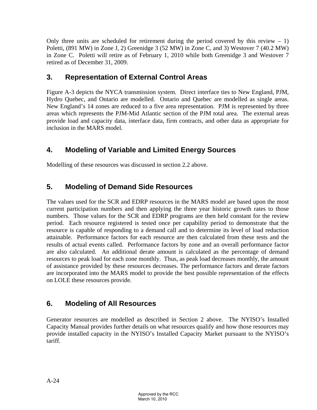Only three units are scheduled for retirement during the period covered by this review  $-1$ ) Poletti, (891 MW) in Zone J, 2) Greenidge 3 (52 MW) in Zone C, and 3) Westover 7 (40.2 MW) in Zone C. Poletti will retire as of February 1, 2010 while both Greenidge 3 and Westover 7 retired as of December 31, 2009.

### **3. Representation of External Control Areas**

Figure A-3 depicts the NYCA transmission system. Direct interface ties to New England, PJM, Hydro Quebec, and Ontario are modelled. Ontario and Quebec are modelled as single areas. New England's 14 zones are reduced to a five area representation. PJM is represented by three areas which represents the PJM-Mid Atlantic section of the PJM total area. The external areas provide load and capacity data, interface data, firm contracts, and other data as appropriate for inclusion in the MARS model.

### **4. Modeling of Variable and Limited Energy Sources**

Modelling of these resources was discussed in section 2.2 above.

### **5. Modeling of Demand Side Resources**

The values used for the SCR and EDRP resources in the MARS model are based upon the most current participation numbers and then applying the three year historic growth rates to those numbers. Those values for the SCR and EDRP programs are then held constant for the review period. Each resource registered is tested once per capability period to demonstrate that the resource is capable of responding to a demand call and to determine its level of load reduction attainable. Performance factors for each resource are then calculated from these tests and the results of actual events called. Performance factors by zone and an overall performance factor are also calculated. An additional derate amount is calculated as the percentage of demand resources to peak load for each zone monthly. Thus, as peak load decreases monthly, the amount of assistance provided by these resources decreases. The performance factors and derate factors are incorporated into the MARS model to provide the best possible representation of the effects on LOLE these resources provide.

### **6. Modeling of All Resources**

Generator resources are modelled as described in Section 2 above. The NYISO's Installed Capacity Manual provides further details on what resources qualify and how those resources may provide installed capacity in the NYISO's Installed Capacity Market pursuant to the NYISO's tariff.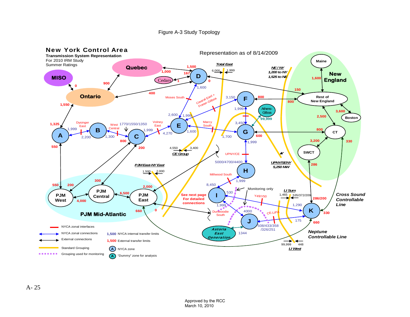#### Figure A-3 Study Topology

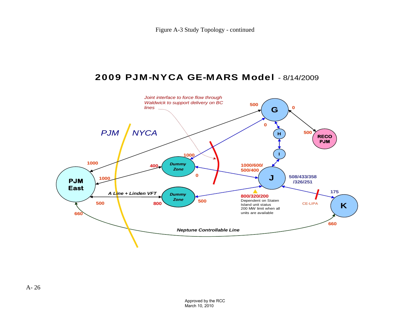## 2009 PJM-NYCA GE-MARS Model - 8/14/2009

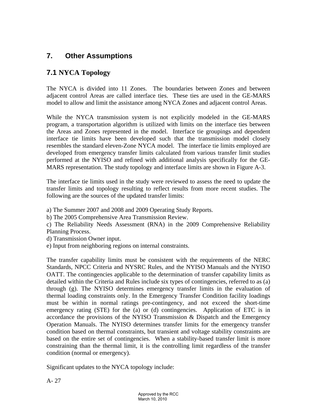### **7. Other Assumptions**

### **7.1 NYCA Topology**

The NYCA is divided into 11 Zones. The boundaries between Zones and between adjacent control Areas are called interface ties. These ties are used in the GE-MARS model to allow and limit the assistance among NYCA Zones and adjacent control Areas.

While the NYCA transmission system is not explicitly modeled in the GE-MARS program, a transportation algorithm is utilized with limits on the interface ties between the Areas and Zones represented in the model. Interface tie groupings and dependent interface tie limits have been developed such that the transmission model closely resembles the standard eleven-Zone NYCA model. The interface tie limits employed are developed from emergency transfer limits calculated from various transfer limit studies performed at the NYISO and refined with additional analysis specifically for the GE-MARS representation. The study topology and interface limits are shown in Figure A-3.

The interface tie limits used in the study were reviewed to assess the need to update the transfer limits and topology resulting to reflect results from more recent studies. The following are the sources of the updated transfer limits:

a) The Summer 2007 and 2008 and 2009 Operating Study Reports.

b) The 2005 Comprehensive Area Transmission Review.

c) The Reliability Needs Assessment (RNA) in the 2009 Comprehensive Reliability Planning Process.

d) Transmission Owner input.

e) Input from neighboring regions on internal constraints.

The transfer capability limits must be consistent with the requirements of the NERC Standards, NPCC Criteria and NYSRC Rules, and the NYISO Manuals and the NYISO OATT. The contingencies applicable to the determination of transfer capability limits as detailed within the Criteria and Rules include six types of contingencies, referred to as (a) through (g). The NYISO determines emergency transfer limits in the evaluation of thermal loading constraints only. In the Emergency Transfer Condition facility loadings must be within in normal ratings pre-contingency, and not exceed the short-time emergency rating (STE) for the (a) or (d) contingencies. Application of ETC is in accordance the provisions of the NYISO Transmission & Dispatch and the Emergency Operation Manuals. The NYISO determines transfer limits for the emergency transfer condition based on thermal constraints, but transient and voltage stability constraints are based on the entire set of contingencies. When a stability-based transfer limit is more constraining than the thermal limit, it is the controlling limit regardless of the transfer condition (normal or emergency).

Significant updates to the NYCA topology include: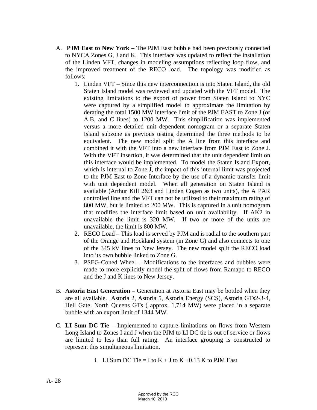- A. **PJM East to New York** The PJM East bubble had been previously connected to NYCA Zones G, J and K. This interface was updated to reflect the installation of the Linden VFT, changes in modeling assumptions reflecting loop flow, and the improved treatment of the RECO load. The topology was modified as follows:
	- 1. Linden VFT Since this new interconnection is into Staten Island, the old Staten Island model was reviewed and updated with the VFT model. The existing limitations to the export of power from Staten Island to NYC were captured by a simplified model to approximate the limitation by derating the total 1500 MW interface limit of the PJM EAST to Zone J (or A,B, and C lines) to 1200 MW. This simplification was implemented versus a more detailed unit dependent nomogram or a separate Staten Island subzone as previous testing determined the three methods to be equivalent. The new model split the A line from this interface and combined it with the VFT into a new interface from PJM East to Zone J. With the VFT insertion, it was determined that the unit dependent limit on this interface would be implemented. To model the Staten Island Export, which is internal to Zone J, the impact of this internal limit was projected to the PJM East to Zone Interface by the use of a dynamic transfer limit with unit dependent model. When all generation on Staten Island is available (Arthur Kill 2&3 and Linden Cogen as two units), the A PAR controlled line and the VFT can not be utilized to their maximum rating of 800 MW, but is limited to 200 MW. This is captured in a unit nomogram that modifies the interface limit based on unit availability. If AK2 in unavailable the limit is 320 MW. If two or more of the units are unavailable, the limit is 800 MW.
	- 2. RECO Load This load is served by PJM and is radial to the southern part of the Orange and Rockland system (in Zone G) and also connects to one of the 345 kV lines to New Jersey. The new model split the RECO load into its own bubble linked to Zone G.
	- 3. PSEG-Coned Wheel Modifications to the interfaces and bubbles were made to more explicitly model the split of flows from Ramapo to RECO and the J and K lines to New Jersey.
- B. **Astoria East Generation** Generation at Astoria East may be bottled when they are all available. Astoria 2, Astoria 5, Astoria Energy (SCS), Astoria GTs2-3-4, Hell Gate, North Queens GTs ( approx. 1,714 MW) were placed in a separate bubble with an export limit of 1344 MW.
- C. **LI Sum DC Tie** Implemented to capture limitations on flows from Western Long Island to Zones I and J when the PJM to LI DC tie is out of service or flows are limited to less than full rating. An interface grouping is constructed to represent this simultaneous limitation.
	- i. LI Sum DC Tie = I to  $K + J$  to  $K + 0.13 K$  to PJM East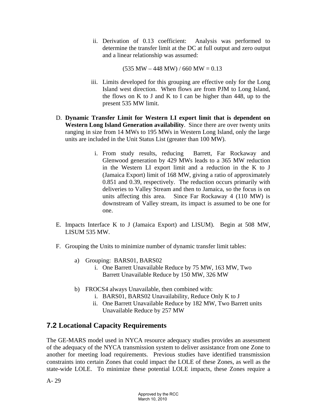ii. Derivation of 0.13 coefficient: Analysis was performed to determine the transfer limit at the DC at full output and zero output and a linear relationship was assumed:

 $(535 MW - 448 MW) / 660 MW = 0.13$ 

- iii. Limits developed for this grouping are effective only for the Long Island west direction. When flows are from PJM to Long Island, the flows on K to J and K to I can be higher than 448, up to the present 535 MW limit.
- D. **Dynamic Transfer Limit for Western LI export limit that is dependent on Western Long Island Generation availability**. Since there are over twenty units ranging in size from 14 MWs to 195 MWs in Western Long Island, only the large units are included in the Unit Status List (greater than 100 MW).
	- i. From study results, reducing Barrett, Far Rockaway and Glenwood generation by 429 MWs leads to a 365 MW reduction in the Western LI export limit and a reduction in the K to J (Jamaica Export) limit of 168 MW, giving a ratio of approximately 0.851 and 0.39, respectively. The reduction occurs primarily with deliveries to Valley Stream and then to Jamaica, so the focus is on units affecting this area. Since Far Rockaway 4 (110 MW) is downstream of Valley stream, its impact is assumed to be one for one.
- E. Impacts Interface K to J (Jamaica Export) and LISUM). Begin at 508 MW, LISUM 535 MW.
- F. Grouping the Units to minimize number of dynamic transfer limit tables:
	- a) Grouping: BARS01, BARS02
		- i. One Barrett Unavailable Reduce by 75 MW, 163 MW, Two Barrett Unavailable Reduce by 150 MW, 326 MW
	- b) FROCS4 always Unavailable, then combined with:
		- i. BARS01, BARS02 Unavailability, Reduce Only K to J
		- ii. One Barrett Unavailable Reduce by 182 MW, Two Barrett units Unavailable Reduce by 257 MW

### **7.2 Locational Capacity Requirements**

The GE-MARS model used in NYCA resource adequacy studies provides an assessment of the adequacy of the NYCA transmission system to deliver assistance from one Zone to another for meeting load requirements. Previous studies have identified transmission constraints into certain Zones that could impact the LOLE of these Zones, as well as the state-wide LOLE. To minimize these potential LOLE impacts, these Zones require a